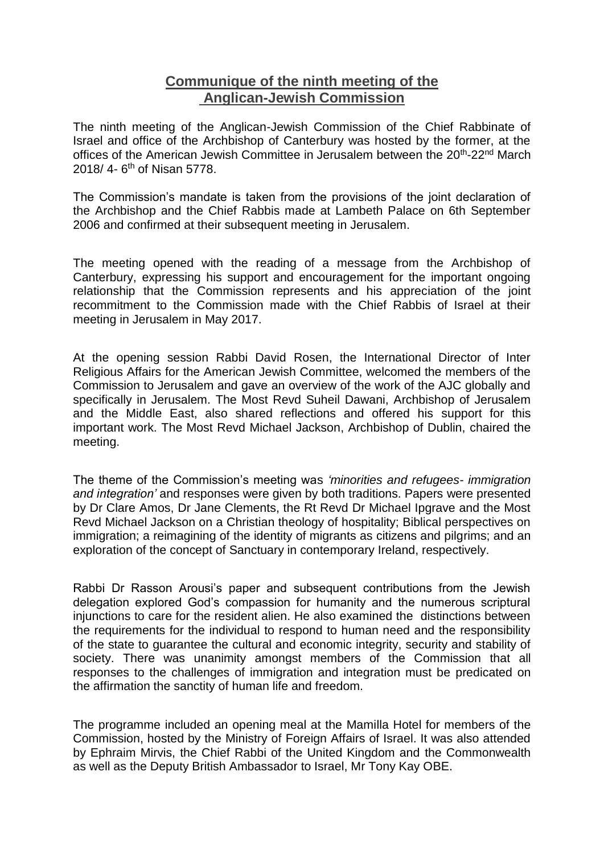## **Communique of the ninth meeting of the Anglican-Jewish Commission**

The ninth meeting of the Anglican-Jewish Commission of the Chief Rabbinate of Israel and office of the Archbishop of Canterbury was hosted by the former, at the offices of the American Jewish Committee in Jerusalem between the 20<sup>th</sup>-22<sup>nd</sup> March 2018/ 4- 6<sup>th</sup> of Nisan 5778.

The Commission's mandate is taken from the provisions of the joint declaration of the Archbishop and the Chief Rabbis made at Lambeth Palace on 6th September 2006 and confirmed at their subsequent meeting in Jerusalem.

The meeting opened with the reading of a message from the Archbishop of Canterbury, expressing his support and encouragement for the important ongoing relationship that the Commission represents and his appreciation of the joint recommitment to the Commission made with the Chief Rabbis of Israel at their meeting in Jerusalem in May 2017.

At the opening session Rabbi David Rosen, the International Director of Inter Religious Affairs for the American Jewish Committee, welcomed the members of the Commission to Jerusalem and gave an overview of the work of the AJC globally and specifically in Jerusalem. The Most Revd Suheil Dawani, Archbishop of Jerusalem and the Middle East, also shared reflections and offered his support for this important work. The Most Revd Michael Jackson, Archbishop of Dublin, chaired the meeting.

The theme of the Commission's meeting was *'minorities and refugees- immigration and integration'* and responses were given by both traditions. Papers were presented by Dr Clare Amos, Dr Jane Clements, the Rt Revd Dr Michael Ipgrave and the Most Revd Michael Jackson on a Christian theology of hospitality; Biblical perspectives on immigration; a reimagining of the identity of migrants as citizens and pilgrims; and an exploration of the concept of Sanctuary in contemporary Ireland, respectively.

Rabbi Dr Rasson Arousi's paper and subsequent contributions from the Jewish delegation explored God's compassion for humanity and the numerous scriptural injunctions to care for the resident alien. He also examined the distinctions between the requirements for the individual to respond to human need and the responsibility of the state to guarantee the cultural and economic integrity, security and stability of society. There was unanimity amongst members of the Commission that all responses to the challenges of immigration and integration must be predicated on the affirmation the sanctity of human life and freedom.

The programme included an opening meal at the Mamilla Hotel for members of the Commission, hosted by the Ministry of Foreign Affairs of Israel. It was also attended by Ephraim Mirvis, the Chief Rabbi of the United Kingdom and the Commonwealth as well as the Deputy British Ambassador to Israel, Mr Tony Kay OBE.